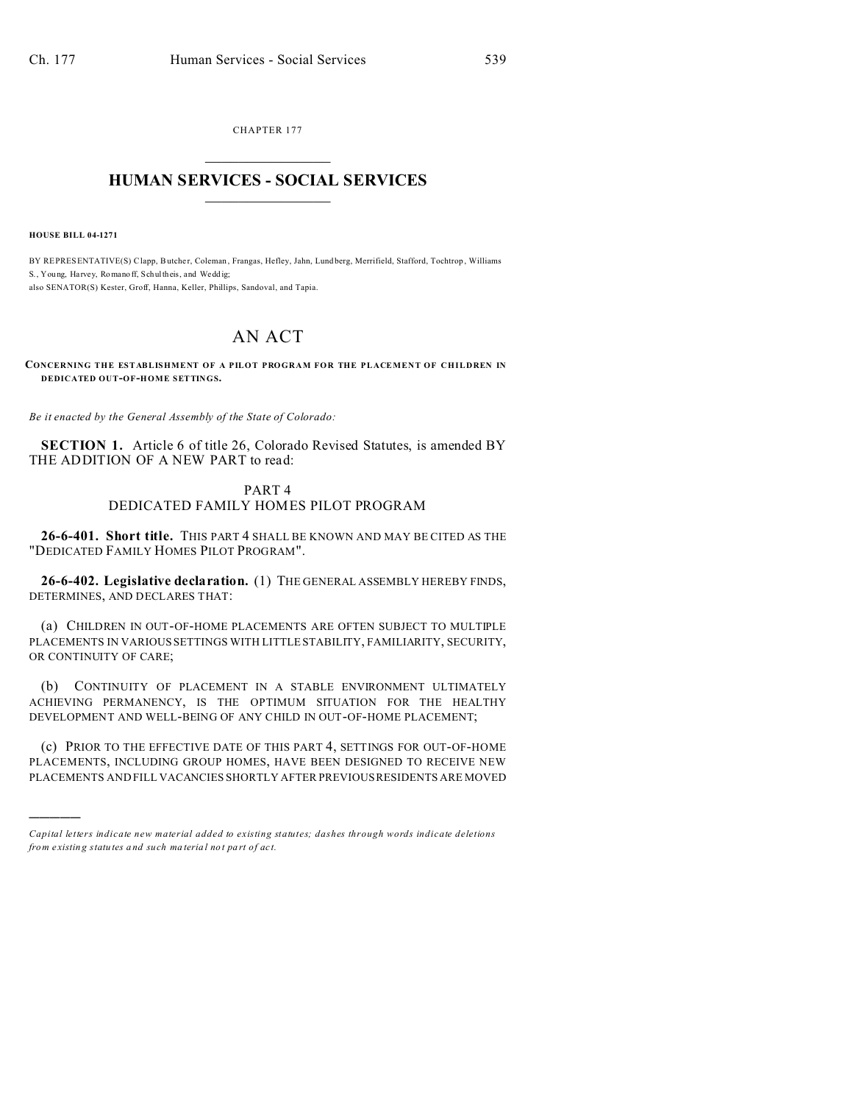CHAPTER 177  $\overline{\phantom{a}}$  , where  $\overline{\phantom{a}}$ 

## **HUMAN SERVICES - SOCIAL SERVICES**  $\frac{1}{2}$  ,  $\frac{1}{2}$  ,  $\frac{1}{2}$  ,  $\frac{1}{2}$  ,  $\frac{1}{2}$  ,  $\frac{1}{2}$  ,  $\frac{1}{2}$

**HOUSE BILL 04-1271**

)))))

BY REPRESENTATIVE(S) Clapp, Butcher, Coleman, Frangas, Hefley, Jahn, Lund berg, Merrifield, Stafford, Tochtrop, Williams S., You ng, Harvey, Romano ff, Schul theis, and Weddig: also SENATOR(S) Kester, Groff, Hanna, Keller, Phillips, Sandoval, and Tapia.

## AN ACT

**CONCERNING THE ESTABLISHMENT OF A PILOT PROGRAM FOR THE PLACEMENT OF CHILDREN IN DEDICATED OUT-OF-HOME SETTINGS.**

*Be it enacted by the General Assembly of the State of Colorado:*

**SECTION 1.** Article 6 of title 26, Colorado Revised Statutes, is amended BY THE ADDITION OF A NEW PART to read:

## PART 4 DEDICATED FAMILY HOMES PILOT PROGRAM

**26-6-401. Short title.** THIS PART 4 SHALL BE KNOWN AND MAY BE CITED AS THE "DEDICATED FAMILY HOMES PILOT PROGRAM".

**26-6-402. Legislative declaration.** (1) THE GENERAL ASSEMBLY HEREBY FINDS, DETERMINES, AND DECLARES THAT:

(a) CHILDREN IN OUT-OF-HOME PLACEMENTS ARE OFTEN SUBJECT TO MULTIPLE PLACEMENTS IN VARIOUS SETTINGS WITH LITTLE STABILITY, FAMILIARITY, SECURITY, OR CONTINUITY OF CARE;

(b) CONTINUITY OF PLACEMENT IN A STABLE ENVIRONMENT ULTIMATELY ACHIEVING PERMANENCY, IS THE OPTIMUM SITUATION FOR THE HEALTHY DEVELOPMENT AND WELL-BEING OF ANY CHILD IN OUT-OF-HOME PLACEMENT;

(c) PRIOR TO THE EFFECTIVE DATE OF THIS PART 4, SETTINGS FOR OUT-OF-HOME PLACEMENTS, INCLUDING GROUP HOMES, HAVE BEEN DESIGNED TO RECEIVE NEW PLACEMENTS AND FILL VACANCIES SHORTLY AFTER PREVIOUS RESIDENTS ARE MOVED

*Capital letters indicate new material added to existing statutes; dashes through words indicate deletions from e xistin g statu tes a nd such ma teria l no t pa rt of ac t.*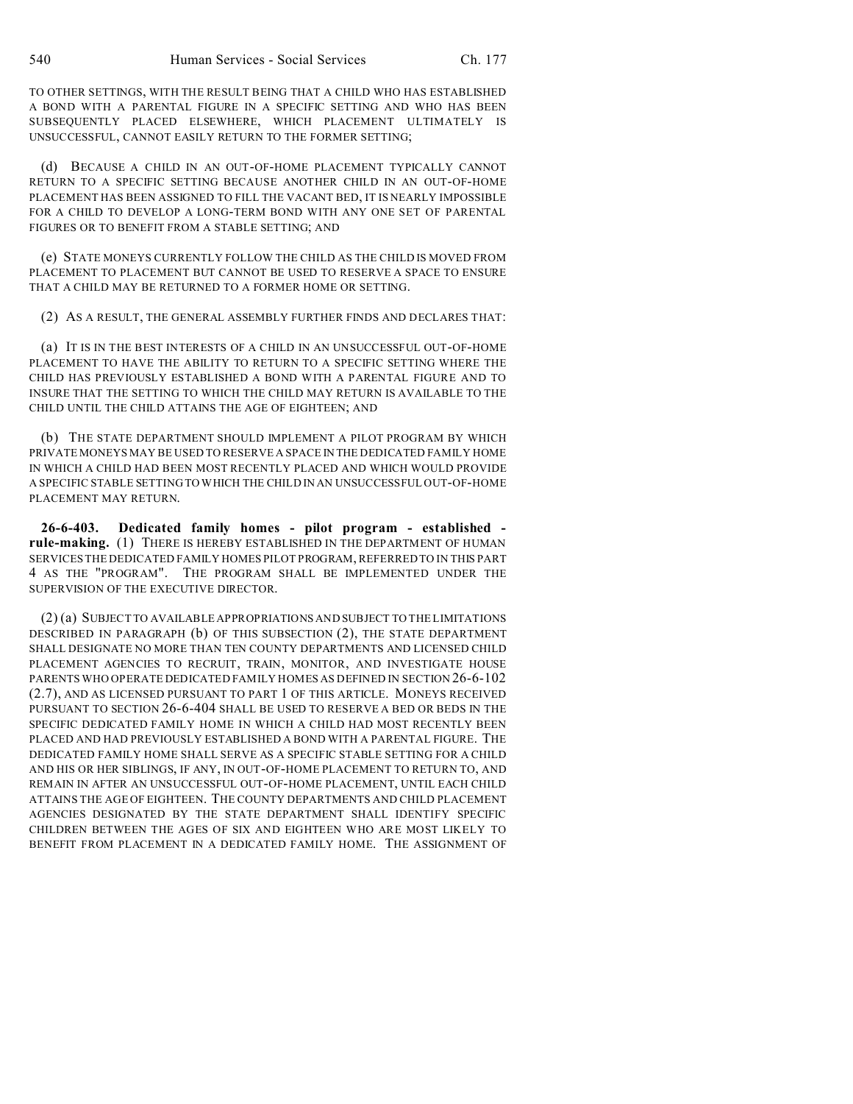TO OTHER SETTINGS, WITH THE RESULT BEING THAT A CHILD WHO HAS ESTABLISHED A BOND WITH A PARENTAL FIGURE IN A SPECIFIC SETTING AND WHO HAS BEEN SUBSEQUENTLY PLACED ELSEWHERE, WHICH PLACEMENT ULTIMATELY IS UNSUCCESSFUL, CANNOT EASILY RETURN TO THE FORMER SETTING;

(d) BECAUSE A CHILD IN AN OUT-OF-HOME PLACEMENT TYPICALLY CANNOT RETURN TO A SPECIFIC SETTING BECAUSE ANOTHER CHILD IN AN OUT-OF-HOME PLACEMENT HAS BEEN ASSIGNED TO FILL THE VACANT BED, IT IS NEARLY IMPOSSIBLE FOR A CHILD TO DEVELOP A LONG-TERM BOND WITH ANY ONE SET OF PARENTAL FIGURES OR TO BENEFIT FROM A STABLE SETTING; AND

(e) STATE MONEYS CURRENTLY FOLLOW THE CHILD AS THE CHILD IS MOVED FROM PLACEMENT TO PLACEMENT BUT CANNOT BE USED TO RESERVE A SPACE TO ENSURE THAT A CHILD MAY BE RETURNED TO A FORMER HOME OR SETTING.

(2) AS A RESULT, THE GENERAL ASSEMBLY FURTHER FINDS AND DECLARES THAT:

(a) IT IS IN THE BEST INTERESTS OF A CHILD IN AN UNSUCCESSFUL OUT-OF-HOME PLACEMENT TO HAVE THE ABILITY TO RETURN TO A SPECIFIC SETTING WHERE THE CHILD HAS PREVIOUSLY ESTABLISHED A BOND WITH A PARENTAL FIGURE AND TO INSURE THAT THE SETTING TO WHICH THE CHILD MAY RETURN IS AVAILABLE TO THE CHILD UNTIL THE CHILD ATTAINS THE AGE OF EIGHTEEN; AND

(b) THE STATE DEPARTMENT SHOULD IMPLEMENT A PILOT PROGRAM BY WHICH PRIVATE MONEYS MAY BE USED TO RESERVE A SPACE IN THE DEDICATED FAMILY HOME IN WHICH A CHILD HAD BEEN MOST RECENTLY PLACED AND WHICH WOULD PROVIDE A SPECIFIC STABLE SETTING TO WHICH THE CHILD IN AN UNSUCCESSFUL OUT-OF-HOME PLACEMENT MAY RETURN.

**26-6-403. Dedicated family homes - pilot program - established rule-making.** (1) THERE IS HEREBY ESTABLISHED IN THE DEPARTMENT OF HUMAN SERVICES THE DEDICATED FAMILY HOMES PILOT PROGRAM, REFERRED TO IN THIS PART 4 AS THE "PROGRAM". THE PROGRAM SHALL BE IMPLEMENTED UNDER THE SUPERVISION OF THE EXECUTIVE DIRECTOR.

(2) (a) SUBJECT TO AVAILABLE APPROPRIATIONS AND SUBJECT TO THE LIMITATIONS DESCRIBED IN PARAGRAPH (b) OF THIS SUBSECTION (2), THE STATE DEPARTMENT SHALL DESIGNATE NO MORE THAN TEN COUNTY DEPARTMENTS AND LICENSED CHILD PLACEMENT AGENCIES TO RECRUIT, TRAIN, MONITOR, AND INVESTIGATE HOUSE PARENTS WHO OPERATE DEDICATED FAMILY HOMES AS DEFINED IN SECTION 26-6-102 (2.7), AND AS LICENSED PURSUANT TO PART 1 OF THIS ARTICLE. MONEYS RECEIVED PURSUANT TO SECTION 26-6-404 SHALL BE USED TO RESERVE A BED OR BEDS IN THE SPECIFIC DEDICATED FAMILY HOME IN WHICH A CHILD HAD MOST RECENTLY BEEN PLACED AND HAD PREVIOUSLY ESTABLISHED A BOND WITH A PARENTAL FIGURE. THE DEDICATED FAMILY HOME SHALL SERVE AS A SPECIFIC STABLE SETTING FOR A CHILD AND HIS OR HER SIBLINGS, IF ANY, IN OUT-OF-HOME PLACEMENT TO RETURN TO, AND REMAIN IN AFTER AN UNSUCCESSFUL OUT-OF-HOME PLACEMENT, UNTIL EACH CHILD ATTAINS THE AGE OF EIGHTEEN. THE COUNTY DEPARTMENTS AND CHILD PLACEMENT AGENCIES DESIGNATED BY THE STATE DEPARTMENT SHALL IDENTIFY SPECIFIC CHILDREN BETWEEN THE AGES OF SIX AND EIGHTEEN WHO ARE MOST LIKELY TO BENEFIT FROM PLACEMENT IN A DEDICATED FAMILY HOME. THE ASSIGNMENT OF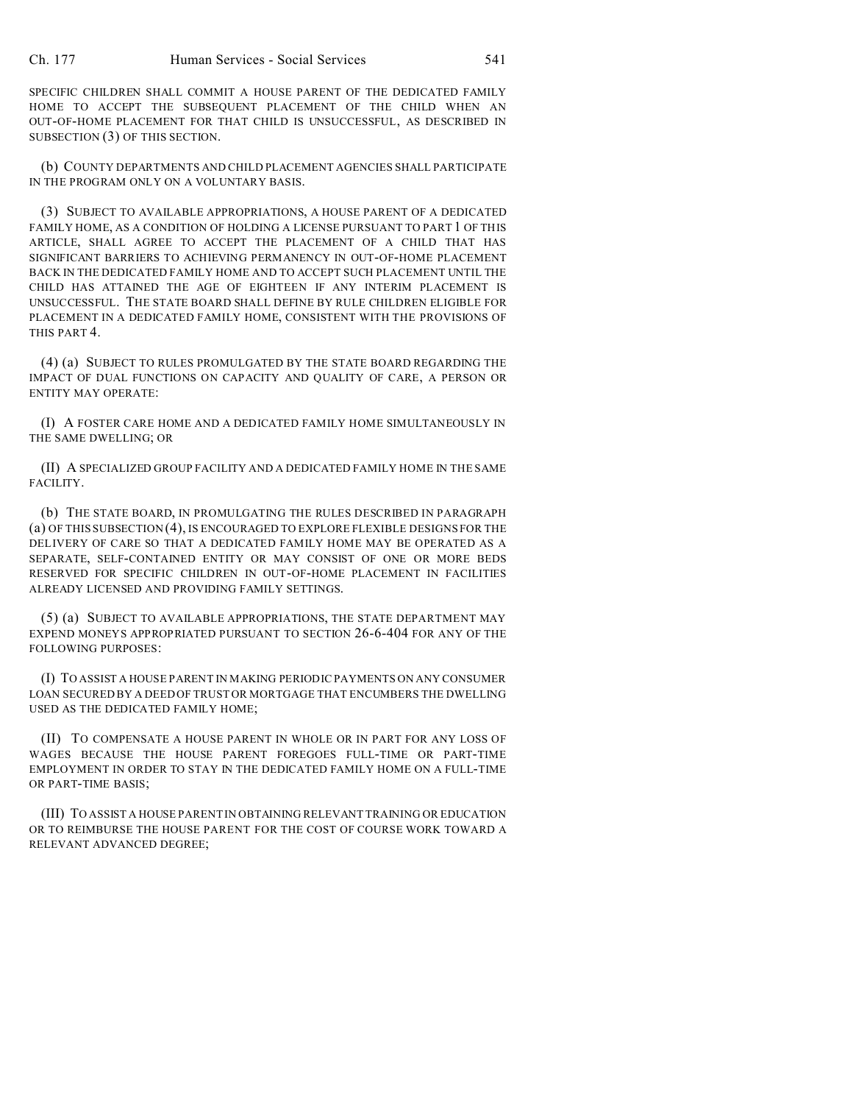SPECIFIC CHILDREN SHALL COMMIT A HOUSE PARENT OF THE DEDICATED FAMILY HOME TO ACCEPT THE SUBSEQUENT PLACEMENT OF THE CHILD WHEN AN OUT-OF-HOME PLACEMENT FOR THAT CHILD IS UNSUCCESSFUL, AS DESCRIBED IN SUBSECTION (3) OF THIS SECTION.

(b) COUNTY DEPARTMENTS AND CHILD PLACEMENT AGENCIES SHALL PARTICIPATE IN THE PROGRAM ONLY ON A VOLUNTARY BASIS.

(3) SUBJECT TO AVAILABLE APPROPRIATIONS, A HOUSE PARENT OF A DEDICATED FAMILY HOME, AS A CONDITION OF HOLDING A LICENSE PURSUANT TO PART 1 OF THIS ARTICLE, SHALL AGREE TO ACCEPT THE PLACEMENT OF A CHILD THAT HAS SIGNIFICANT BARRIERS TO ACHIEVING PERMANENCY IN OUT-OF-HOME PLACEMENT BACK IN THE DEDICATED FAMILY HOME AND TO ACCEPT SUCH PLACEMENT UNTIL THE CHILD HAS ATTAINED THE AGE OF EIGHTEEN IF ANY INTERIM PLACEMENT IS UNSUCCESSFUL. THE STATE BOARD SHALL DEFINE BY RULE CHILDREN ELIGIBLE FOR PLACEMENT IN A DEDICATED FAMILY HOME, CONSISTENT WITH THE PROVISIONS OF THIS PART 4.

(4) (a) SUBJECT TO RULES PROMULGATED BY THE STATE BOARD REGARDING THE IMPACT OF DUAL FUNCTIONS ON CAPACITY AND QUALITY OF CARE, A PERSON OR ENTITY MAY OPERATE:

(I) A FOSTER CARE HOME AND A DEDICATED FAMILY HOME SIMULTANEOUSLY IN THE SAME DWELLING; OR

(II) A SPECIALIZED GROUP FACILITY AND A DEDICATED FAMILY HOME IN THE SAME FACILITY.

(b) THE STATE BOARD, IN PROMULGATING THE RULES DESCRIBED IN PARAGRAPH (a) OF THIS SUBSECTION (4), IS ENCOURAGED TO EXPLORE FLEXIBLE DESIGNS FOR THE DELIVERY OF CARE SO THAT A DEDICATED FAMILY HOME MAY BE OPERATED AS A SEPARATE, SELF-CONTAINED ENTITY OR MAY CONSIST OF ONE OR MORE BEDS RESERVED FOR SPECIFIC CHILDREN IN OUT-OF-HOME PLACEMENT IN FACILITIES ALREADY LICENSED AND PROVIDING FAMILY SETTINGS.

(5) (a) SUBJECT TO AVAILABLE APPROPRIATIONS, THE STATE DEPARTMENT MAY EXPEND MONEYS APPROPRIATED PURSUANT TO SECTION 26-6-404 FOR ANY OF THE FOLLOWING PURPOSES:

(I) TO ASSIST A HOUSE PARENT IN MAKING PERIODIC PAYMENTS ON ANY CONSUMER LOAN SECURED BY A DEED OF TRUST OR MORTGAGE THAT ENCUMBERS THE DWELLING USED AS THE DEDICATED FAMILY HOME;

(II) TO COMPENSATE A HOUSE PARENT IN WHOLE OR IN PART FOR ANY LOSS OF WAGES BECAUSE THE HOUSE PARENT FOREGOES FULL-TIME OR PART-TIME EMPLOYMENT IN ORDER TO STAY IN THE DEDICATED FAMILY HOME ON A FULL-TIME OR PART-TIME BASIS;

(III) TO ASSIST A HOUSE PARENT IN OBTAINING RELEVANT TRAINING OR EDUCATION OR TO REIMBURSE THE HOUSE PARENT FOR THE COST OF COURSE WORK TOWARD A RELEVANT ADVANCED DEGREE;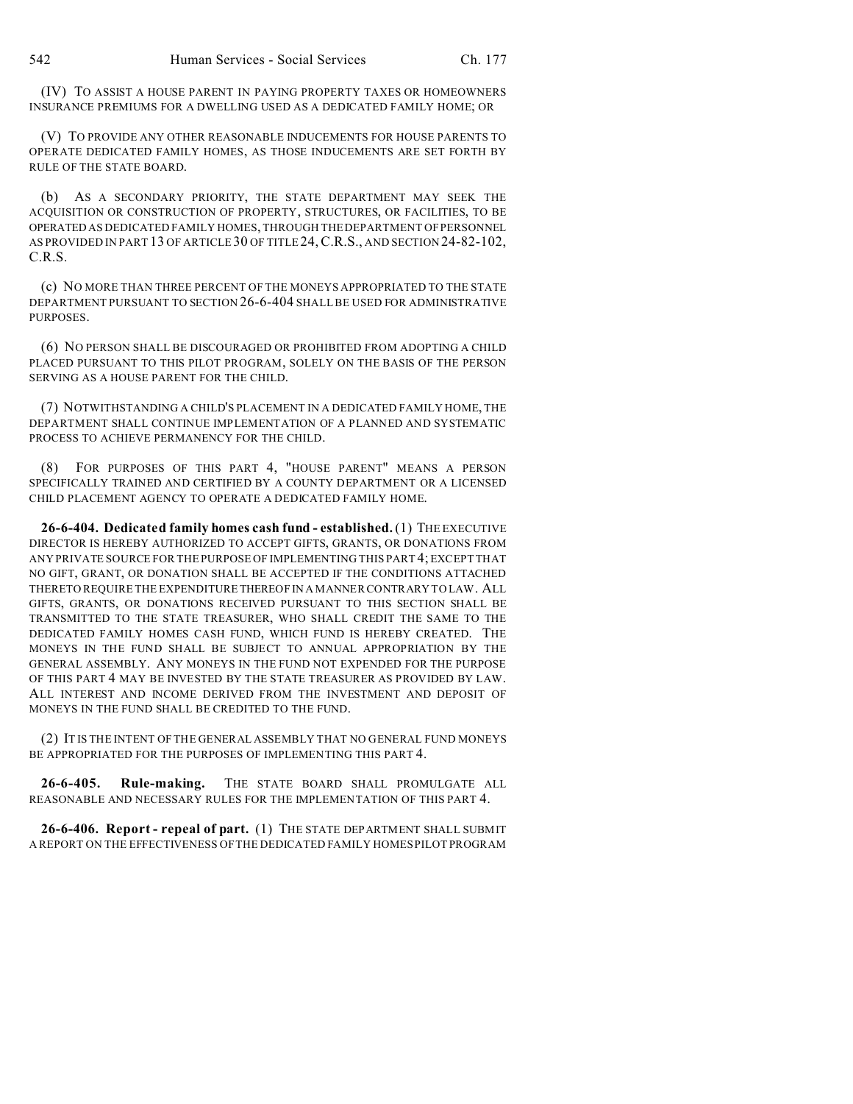(IV) TO ASSIST A HOUSE PARENT IN PAYING PROPERTY TAXES OR HOMEOWNERS INSURANCE PREMIUMS FOR A DWELLING USED AS A DEDICATED FAMILY HOME; OR

(V) TO PROVIDE ANY OTHER REASONABLE INDUCEMENTS FOR HOUSE PARENTS TO OPERATE DEDICATED FAMILY HOMES, AS THOSE INDUCEMENTS ARE SET FORTH BY RULE OF THE STATE BOARD.

(b) AS A SECONDARY PRIORITY, THE STATE DEPARTMENT MAY SEEK THE ACQUISITION OR CONSTRUCTION OF PROPERTY, STRUCTURES, OR FACILITIES, TO BE OPERATED AS DEDICATED FAMILY HOMES, THROUGH THE DEPARTMENT OF PERSONNEL AS PROVIDED IN PART 13 OF ARTICLE 30 OF TITLE 24,C.R.S., AND SECTION 24-82-102, C.R.S.

(c) NO MORE THAN THREE PERCENT OF THE MONEYS APPROPRIATED TO THE STATE DEPARTMENT PURSUANT TO SECTION 26-6-404 SHALL BE USED FOR ADMINISTRATIVE PURPOSES.

(6) NO PERSON SHALL BE DISCOURAGED OR PROHIBITED FROM ADOPTING A CHILD PLACED PURSUANT TO THIS PILOT PROGRAM, SOLELY ON THE BASIS OF THE PERSON SERVING AS A HOUSE PARENT FOR THE CHILD.

(7) NOTWITHSTANDING A CHILD'S PLACEMENT IN A DEDICATED FAMILY HOME, THE DEPARTMENT SHALL CONTINUE IMPLEMENTATION OF A PLANNED AND SYSTEMATIC PROCESS TO ACHIEVE PERMANENCY FOR THE CHILD.

(8) FOR PURPOSES OF THIS PART 4, "HOUSE PARENT" MEANS A PERSON SPECIFICALLY TRAINED AND CERTIFIED BY A COUNTY DEPARTMENT OR A LICENSED CHILD PLACEMENT AGENCY TO OPERATE A DEDICATED FAMILY HOME.

**26-6-404. Dedicated family homes cash fund - established.** (1) THE EXECUTIVE DIRECTOR IS HEREBY AUTHORIZED TO ACCEPT GIFTS, GRANTS, OR DONATIONS FROM ANY PRIVATE SOURCE FOR THE PURPOSE OF IMPLEMENTING THIS PART 4; EXCEPT THAT NO GIFT, GRANT, OR DONATION SHALL BE ACCEPTED IF THE CONDITIONS ATTACHED THERETO REQUIRE THE EXPENDITURE THEREOF IN A MANNER CONTRARY TO LAW. ALL GIFTS, GRANTS, OR DONATIONS RECEIVED PURSUANT TO THIS SECTION SHALL BE TRANSMITTED TO THE STATE TREASURER, WHO SHALL CREDIT THE SAME TO THE DEDICATED FAMILY HOMES CASH FUND, WHICH FUND IS HEREBY CREATED. THE MONEYS IN THE FUND SHALL BE SUBJECT TO ANNUAL APPROPRIATION BY THE GENERAL ASSEMBLY. ANY MONEYS IN THE FUND NOT EXPENDED FOR THE PURPOSE OF THIS PART 4 MAY BE INVESTED BY THE STATE TREASURER AS PROVIDED BY LAW. ALL INTEREST AND INCOME DERIVED FROM THE INVESTMENT AND DEPOSIT OF MONEYS IN THE FUND SHALL BE CREDITED TO THE FUND.

(2) IT IS THE INTENT OF THE GENERAL ASSEMBLY THAT NO GENERAL FUND MONEYS BE APPROPRIATED FOR THE PURPOSES OF IMPLEMENTING THIS PART 4.

**26-6-405. Rule-making.** THE STATE BOARD SHALL PROMULGATE ALL REASONABLE AND NECESSARY RULES FOR THE IMPLEMENTATION OF THIS PART 4.

**26-6-406. Report - repeal of part.** (1) THE STATE DEPARTMENT SHALL SUBMIT A REPORT ON THE EFFECTIVENESS OF THE DEDICATED FAMILY HOMES PILOT PROGRAM